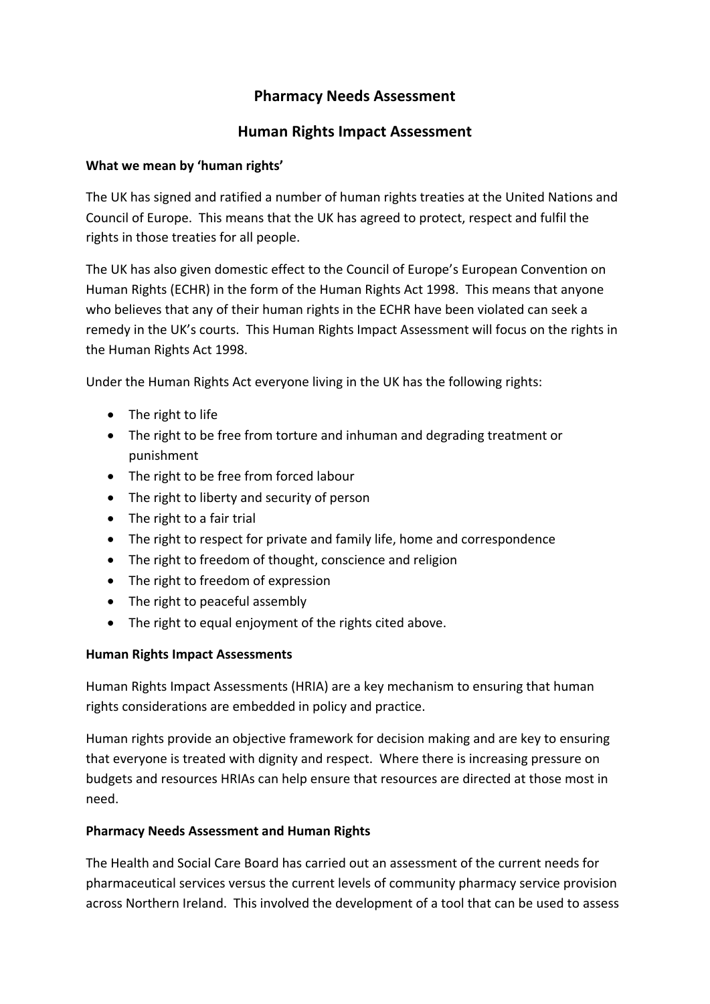# **Pharmacy Needs Assessment**

## **Human Rights Impact Assessment**

### **What we mean by 'human rights'**

The UK has signed and ratified a number of human rights treaties at the United Nations and Council of Europe. This means that the UK has agreed to protect, respect and fulfil the rights in those treaties for all people.

The UK has also given domestic effect to the Council of Europe's European Convention on Human Rights (ECHR) in the form of the Human Rights Act 1998. This means that anyone who believes that any of their human rights in the ECHR have been violated can seek a remedy in the UK's courts. This Human Rights Impact Assessment will focus on the rights in the Human Rights Act 1998.

Under the Human Rights Act everyone living in the UK has the following rights:

- The right to life
- The right to be free from torture and inhuman and degrading treatment or punishment
- The right to be free from forced labour
- The right to liberty and security of person
- The right to a fair trial
- The right to respect for private and family life, home and correspondence
- The right to freedom of thought, conscience and religion
- The right to freedom of expression
- The right to peaceful assembly
- The right to equal enjoyment of the rights cited above.

### **Human Rights Impact Assessments**

Human Rights Impact Assessments (HRIA) are a key mechanism to ensuring that human rights considerations are embedded in policy and practice.

Human rights provide an objective framework for decision making and are key to ensuring that everyone is treated with dignity and respect. Where there is increasing pressure on budgets and resources HRIAs can help ensure that resources are directed at those most in need.

### **Pharmacy Needs Assessment and Human Rights**

The Health and Social Care Board has carried out an assessment of the current needs for pharmaceutical services versus the current levels of community pharmacy service provision across Northern Ireland. This involved the development of a tool that can be used to assess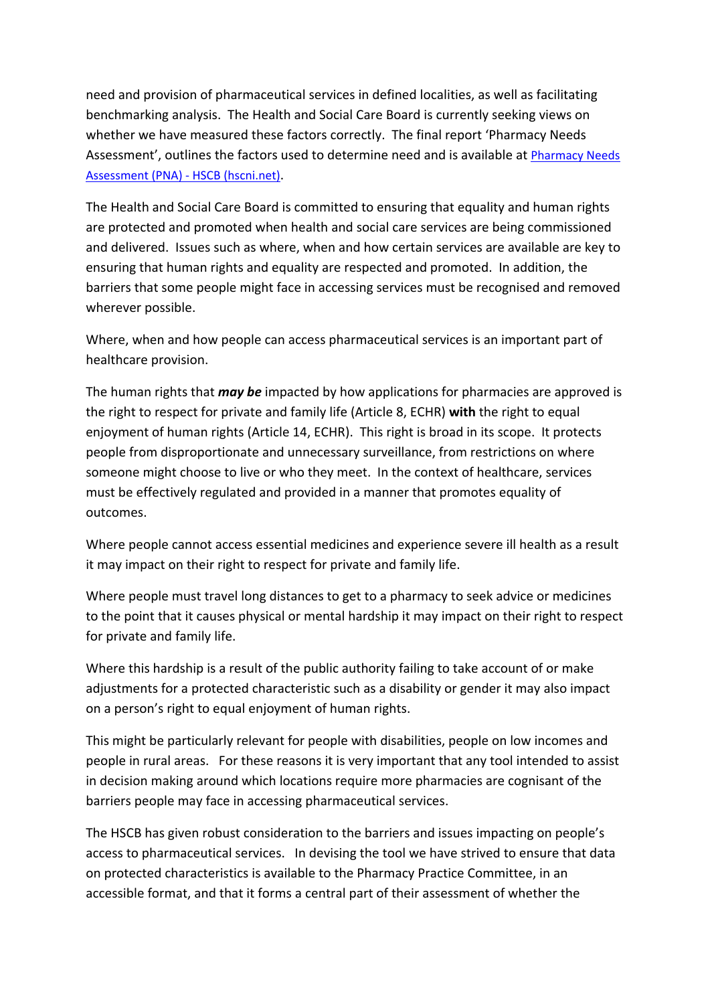need and provision of pharmaceutical services in defined localities, as well as facilitating benchmarking analysis. The Health and Social Care Board is currently seeking views on whether we have measured these factors correctly. The final report 'Pharmacy Needs Assessment', outlines the factors used to determine need and is available at [Pharmacy Needs](http://www.hscboard.hscni.net/get-involved/consultations/pna/)  [Assessment \(PNA\) -](http://www.hscboard.hscni.net/get-involved/consultations/pna/) HSCB (hscni.net).

The Health and Social Care Board is committed to ensuring that equality and human rights are protected and promoted when health and social care services are being commissioned and delivered. Issues such as where, when and how certain services are available are key to ensuring that human rights and equality are respected and promoted. In addition, the barriers that some people might face in accessing services must be recognised and removed wherever possible.

Where, when and how people can access pharmaceutical services is an important part of healthcare provision.

The human rights that *may be* impacted by how applications for pharmacies are approved is the right to respect for private and family life (Article 8, ECHR) **with** the right to equal enjoyment of human rights (Article 14, ECHR). This right is broad in its scope. It protects people from disproportionate and unnecessary surveillance, from restrictions on where someone might choose to live or who they meet. In the context of healthcare, services must be effectively regulated and provided in a manner that promotes equality of outcomes.

Where people cannot access essential medicines and experience severe ill health as a result it may impact on their right to respect for private and family life.

Where people must travel long distances to get to a pharmacy to seek advice or medicines to the point that it causes physical or mental hardship it may impact on their right to respect for private and family life.

Where this hardship is a result of the public authority failing to take account of or make adjustments for a protected characteristic such as a disability or gender it may also impact on a person's right to equal enjoyment of human rights.

This might be particularly relevant for people with disabilities, people on low incomes and people in rural areas. For these reasons it is very important that any tool intended to assist in decision making around which locations require more pharmacies are cognisant of the barriers people may face in accessing pharmaceutical services.

The HSCB has given robust consideration to the barriers and issues impacting on people's access to pharmaceutical services. In devising the tool we have strived to ensure that data on protected characteristics is available to the Pharmacy Practice Committee, in an accessible format, and that it forms a central part of their assessment of whether the